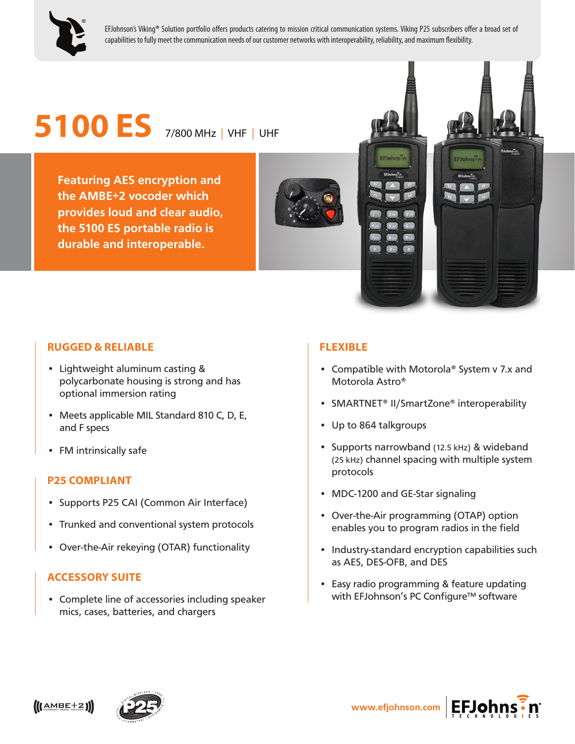

EFJohnson's Viking**®** Solution portfolio offers products catering to mission critical communication systems. Viking P25 subscribers offer a broad set of capabilities to fully meet the communication needs of our customer networks with interoperability, reliability, and maximum flexibility.

# **5100 ES** 7/800 MHz | VHF | UHF

**Featuring AES encryption and the AMBE+2 vocoder which provides loud and clear audio, the 5100 ES portable radio is durable and interoperable.**

### **RUGGED & RELIABLE**

- Lightweight aluminum casting & polycarbonate housing is strong and has optional immersion rating
- Meets applicable MIL Standard 810 C, D, E, and F specs
- FM intrinsically safe

#### **P25 COMPLIANT**

- Supports P25 CAI (Common Air Interface)
- Trunked and conventional system protocols
- Over-the-Air rekeying (OTAR) functionality

#### **ACCESSORY SUITE**

• Complete line of accessories including speaker mics, cases, batteries, and chargers

#### **FLEXIBLE**

- Compatible with Motorola® System v 7.x and Motorola Astro®
- SMARTNET® II/SmartZone® interoperability
- Up to 864 talkgroups

EFJohns<sup>7</sup>n

EFJohns<sup>7</sup>n

EFJohns<sup>?</sup>n

- Supports narrowband (12.5 kHz) & wideband (25 kHz) channel spacing with multiple system protocols
- MDC-1200 and GE-Star signaling
- Over-the-Air programming (OTAP) option enables you to program radios in the field
- Industry-standard encryption capabilities such as AES, DES-OFB, and DES
- Easy radio programming & feature updating with EFJohnson's PC Configure™ software